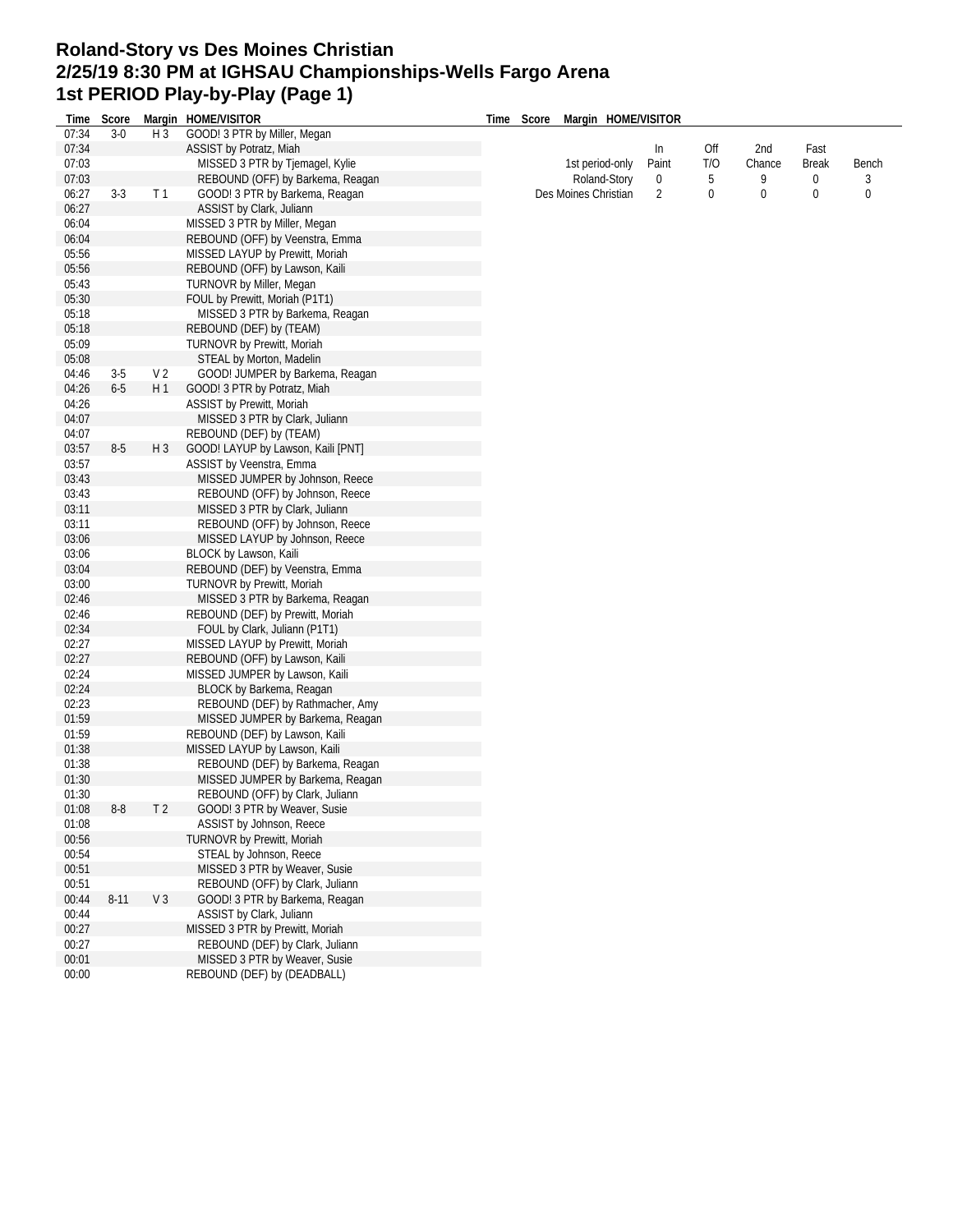## **Roland-Story vs Des Moines Christian 2/25/19 8:30 PM at IGHSAU Championships-Wells Fargo Arena 1st PERIOD Play-by-Play (Page 1)**

| 07:34          | Time Score<br>$3-0$ | H <sub>3</sub> | Margin HOME/VISITOR<br>GOOD! 3 PTR by Miller, Megan                  | Time Score | Margin HOME/VISITOR  |       |             |             |              |                  |
|----------------|---------------------|----------------|----------------------------------------------------------------------|------------|----------------------|-------|-------------|-------------|--------------|------------------|
| 07:34          |                     |                | ASSIST by Potratz, Miah                                              |            |                      | In    | Off         | 2nd         | Fast         |                  |
| 07:03          |                     |                | MISSED 3 PTR by Tjemagel, Kylie                                      |            | 1st period-only      | Paint | T/O         | Chance      | <b>Break</b> | Bench            |
| 07:03          |                     |                | REBOUND (OFF) by Barkema, Reagan                                     |            | Roland-Story         | 0     | 5           | 9           | 0            | 3                |
| 06:27          | $3-3$               | T1             | GOOD! 3 PTR by Barkema, Reagan                                       |            | Des Moines Christian | 2     | $\mathbf 0$ | $\mathbf 0$ | $\bf{0}$     | $\boldsymbol{0}$ |
| 06:27          |                     |                | ASSIST by Clark, Juliann                                             |            |                      |       |             |             |              |                  |
| 06:04          |                     |                | MISSED 3 PTR by Miller, Megan                                        |            |                      |       |             |             |              |                  |
| 06:04          |                     |                | REBOUND (OFF) by Veenstra, Emma                                      |            |                      |       |             |             |              |                  |
| 05:56          |                     |                | MISSED LAYUP by Prewitt, Moriah                                      |            |                      |       |             |             |              |                  |
| 05:56          |                     |                | REBOUND (OFF) by Lawson, Kaili                                       |            |                      |       |             |             |              |                  |
| 05:43          |                     |                | TURNOVR by Miller, Megan                                             |            |                      |       |             |             |              |                  |
| 05:30          |                     |                | FOUL by Prewitt, Moriah (P1T1)                                       |            |                      |       |             |             |              |                  |
| 05:18          |                     |                | MISSED 3 PTR by Barkema, Reagan                                      |            |                      |       |             |             |              |                  |
| 05:18          |                     |                | REBOUND (DEF) by (TEAM)                                              |            |                      |       |             |             |              |                  |
| 05:09          |                     |                | <b>TURNOVR by Prewitt, Moriah</b>                                    |            |                      |       |             |             |              |                  |
| 05:08          |                     |                | STEAL by Morton, Madelin                                             |            |                      |       |             |             |              |                  |
| 04:46          | $3-5$               | V 2            | GOOD! JUMPER by Barkema, Reagan                                      |            |                      |       |             |             |              |                  |
| 04:26          | $6-5$               | H 1            | GOOD! 3 PTR by Potratz, Miah                                         |            |                      |       |             |             |              |                  |
| 04:26          |                     |                | ASSIST by Prewitt, Moriah                                            |            |                      |       |             |             |              |                  |
| 04:07          |                     |                | MISSED 3 PTR by Clark, Juliann                                       |            |                      |       |             |             |              |                  |
| 04:07          |                     |                | REBOUND (DEF) by (TEAM)                                              |            |                      |       |             |             |              |                  |
| 03:57          | $8-5$               | H 3            | GOOD! LAYUP by Lawson, Kaili [PNT]                                   |            |                      |       |             |             |              |                  |
| 03:57          |                     |                | ASSIST by Veenstra, Emma                                             |            |                      |       |             |             |              |                  |
| 03:43          |                     |                | MISSED JUMPER by Johnson, Reece                                      |            |                      |       |             |             |              |                  |
| 03:43          |                     |                | REBOUND (OFF) by Johnson, Reece                                      |            |                      |       |             |             |              |                  |
| 03:11          |                     |                | MISSED 3 PTR by Clark, Juliann                                       |            |                      |       |             |             |              |                  |
| 03:11          |                     |                | REBOUND (OFF) by Johnson, Reece                                      |            |                      |       |             |             |              |                  |
| 03:06          |                     |                | MISSED LAYUP by Johnson, Reece                                       |            |                      |       |             |             |              |                  |
| 03:06          |                     |                | BLOCK by Lawson, Kaili                                               |            |                      |       |             |             |              |                  |
| 03:04          |                     |                | REBOUND (DEF) by Veenstra, Emma                                      |            |                      |       |             |             |              |                  |
| 03:00          |                     |                | TURNOVR by Prewitt, Moriah                                           |            |                      |       |             |             |              |                  |
| 02:46          |                     |                | MISSED 3 PTR by Barkema, Reagan                                      |            |                      |       |             |             |              |                  |
| 02:46          |                     |                | REBOUND (DEF) by Prewitt, Moriah                                     |            |                      |       |             |             |              |                  |
| 02:34          |                     |                | FOUL by Clark, Juliann (P1T1)                                        |            |                      |       |             |             |              |                  |
| 02:27          |                     |                | MISSED LAYUP by Prewitt, Moriah                                      |            |                      |       |             |             |              |                  |
| 02:27          |                     |                | REBOUND (OFF) by Lawson, Kaili                                       |            |                      |       |             |             |              |                  |
| 02:24          |                     |                | MISSED JUMPER by Lawson, Kaili                                       |            |                      |       |             |             |              |                  |
| 02:24          |                     |                | BLOCK by Barkema, Reagan                                             |            |                      |       |             |             |              |                  |
| 02:23          |                     |                | REBOUND (DEF) by Rathmacher, Amy                                     |            |                      |       |             |             |              |                  |
| 01:59          |                     |                | MISSED JUMPER by Barkema, Reagan                                     |            |                      |       |             |             |              |                  |
| 01:59          |                     |                | REBOUND (DEF) by Lawson, Kaili                                       |            |                      |       |             |             |              |                  |
| 01:38          |                     |                | MISSED LAYUP by Lawson, Kaili                                        |            |                      |       |             |             |              |                  |
| 01:38<br>01:30 |                     |                | REBOUND (DEF) by Barkema, Reagan<br>MISSED JUMPER by Barkema, Reagan |            |                      |       |             |             |              |                  |
| 01:30          |                     |                | REBOUND (OFF) by Clark, Juliann                                      |            |                      |       |             |             |              |                  |
| 01:08          | $8-8$               | T <sub>2</sub> | GOOD! 3 PTR by Weaver, Susie                                         |            |                      |       |             |             |              |                  |
| 01:08          |                     |                | ASSIST by Johnson, Reece                                             |            |                      |       |             |             |              |                  |
| 00:56          |                     |                | TURNOVR by Prewitt, Moriah                                           |            |                      |       |             |             |              |                  |
| 00:54          |                     |                | STEAL by Johnson, Reece                                              |            |                      |       |             |             |              |                  |
| 00:51          |                     |                | MISSED 3 PTR by Weaver, Susie                                        |            |                      |       |             |             |              |                  |
| 00:51          |                     |                | REBOUND (OFF) by Clark, Juliann                                      |            |                      |       |             |             |              |                  |
| 00:44          | $8 - 11$            | V <sub>3</sub> | GOOD! 3 PTR by Barkema, Reagan                                       |            |                      |       |             |             |              |                  |
| 00:44          |                     |                | ASSIST by Clark, Juliann                                             |            |                      |       |             |             |              |                  |
| 00:27          |                     |                | MISSED 3 PTR by Prewitt, Moriah                                      |            |                      |       |             |             |              |                  |
| 00:27          |                     |                | REBOUND (DEF) by Clark, Juliann                                      |            |                      |       |             |             |              |                  |
| 00:01          |                     |                | MISSED 3 PTR by Weaver, Susie                                        |            |                      |       |             |             |              |                  |
| 00:00          |                     |                | REBOUND (DEF) by (DEADBALL)                                          |            |                      |       |             |             |              |                  |
|                |                     |                |                                                                      |            |                      |       |             |             |              |                  |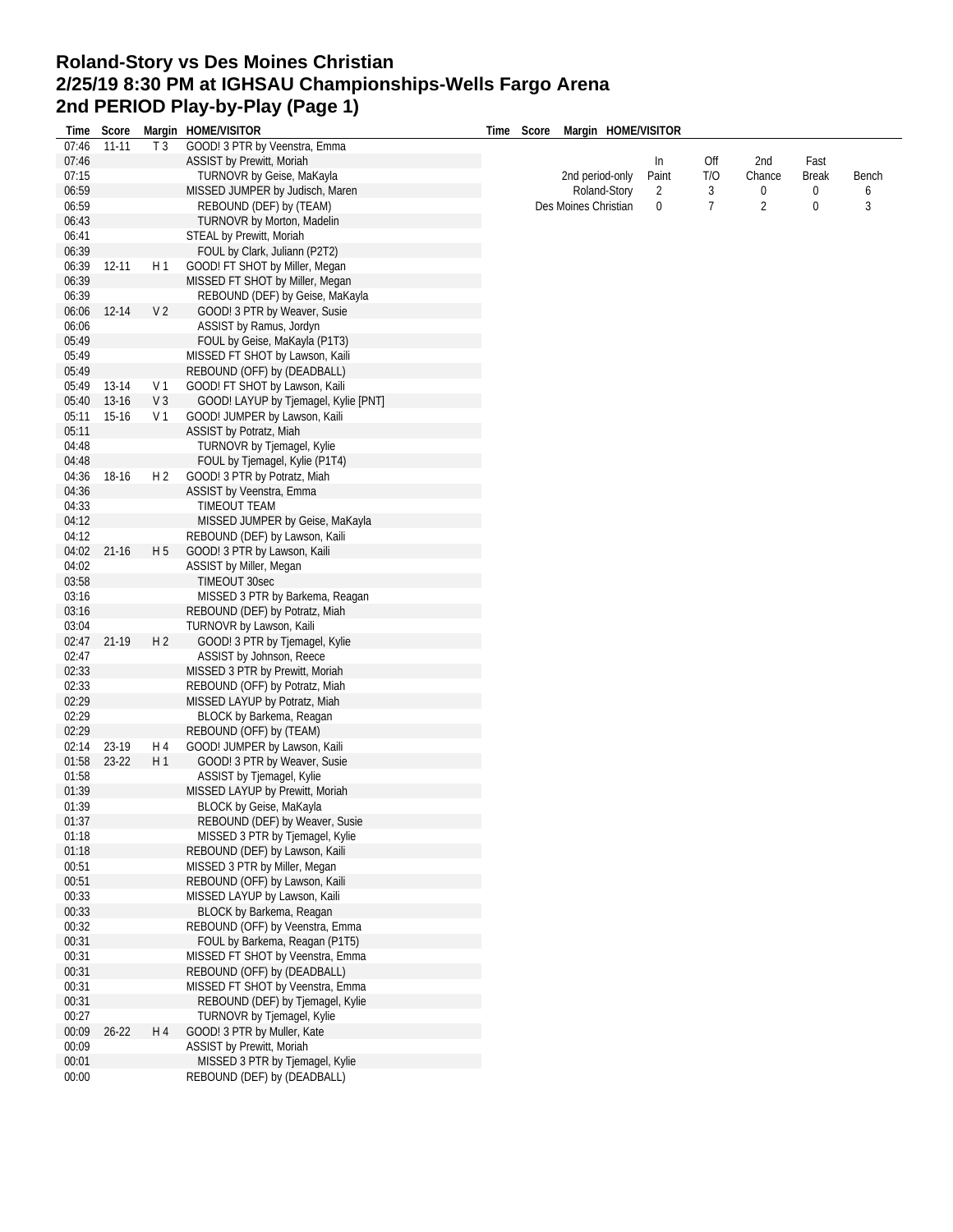## **Roland-Story vs Des Moines Christian 2/25/19 8:30 PM at IGHSAU Championships-Wells Fargo Arena 2nd PERIOD Play-by-Play (Page 1)**

| Time  | Score     |                | Margin HOME/VISITOR                  | Time | Score | Margin HOME/VISITOR  |       |     |        |              |       |
|-------|-----------|----------------|--------------------------------------|------|-------|----------------------|-------|-----|--------|--------------|-------|
| 07:46 | $11 - 11$ | T <sub>3</sub> | GOOD! 3 PTR by Veenstra, Emma        |      |       |                      |       |     |        |              |       |
| 07:46 |           |                | <b>ASSIST by Prewitt, Moriah</b>     |      |       |                      | In    | Off | 2nd    | Fast         |       |
| 07:15 |           |                | TURNOVR by Geise, MaKayla            |      |       | 2nd period-only      | Paint | T/O | Chance | <b>Break</b> | Bench |
| 06:59 |           |                | MISSED JUMPER by Judisch, Maren      |      |       | Roland-Story         | 2     | 3   | 0      | 0            | 6     |
| 06:59 |           |                | REBOUND (DEF) by (TEAM)              |      |       | Des Moines Christian | 0     | 7   | 2      | 0            | 3     |
| 06:43 |           |                | TURNOVR by Morton, Madelin           |      |       |                      |       |     |        |              |       |
| 06:41 |           |                | <b>STEAL by Prewitt, Moriah</b>      |      |       |                      |       |     |        |              |       |
| 06:39 |           |                | FOUL by Clark, Juliann (P2T2)        |      |       |                      |       |     |        |              |       |
| 06:39 | 12-11     | H1             | GOOD! FT SHOT by Miller, Megan       |      |       |                      |       |     |        |              |       |
| 06:39 |           |                | MISSED FT SHOT by Miller, Megan      |      |       |                      |       |     |        |              |       |
| 06:39 |           |                | REBOUND (DEF) by Geise, MaKayla      |      |       |                      |       |     |        |              |       |
| 06:06 | 12-14     | V <sub>2</sub> | GOOD! 3 PTR by Weaver, Susie         |      |       |                      |       |     |        |              |       |
| 06:06 |           |                | ASSIST by Ramus, Jordyn              |      |       |                      |       |     |        |              |       |
| 05:49 |           |                | FOUL by Geise, MaKayla (P1T3)        |      |       |                      |       |     |        |              |       |
| 05:49 |           |                | MISSED FT SHOT by Lawson, Kaili      |      |       |                      |       |     |        |              |       |
| 05:49 |           |                | REBOUND (OFF) by (DEADBALL)          |      |       |                      |       |     |        |              |       |
| 05:49 | $13-14$   | V <sub>1</sub> | GOOD! FT SHOT by Lawson, Kaili       |      |       |                      |       |     |        |              |       |
| 05:40 | 13-16     | V <sub>3</sub> | GOOD! LAYUP by Tjemagel, Kylie [PNT] |      |       |                      |       |     |        |              |       |
| 05:11 | $15-16$   | V <sub>1</sub> | GOOD! JUMPER by Lawson, Kaili        |      |       |                      |       |     |        |              |       |
| 05:11 |           |                | <b>ASSIST by Potratz, Miah</b>       |      |       |                      |       |     |        |              |       |
| 04:48 |           |                | TURNOVR by Tjemagel, Kylie           |      |       |                      |       |     |        |              |       |
| 04:48 |           |                | FOUL by Tjemagel, Kylie (P1T4)       |      |       |                      |       |     |        |              |       |
| 04:36 | 18-16     | H <sub>2</sub> | GOOD! 3 PTR by Potratz, Miah         |      |       |                      |       |     |        |              |       |
| 04:36 |           |                | ASSIST by Veenstra, Emma             |      |       |                      |       |     |        |              |       |
| 04:33 |           |                | TIMEOUT TEAM                         |      |       |                      |       |     |        |              |       |
| 04:12 |           |                | MISSED JUMPER by Geise, MaKayla      |      |       |                      |       |     |        |              |       |
| 04:12 |           |                | REBOUND (DEF) by Lawson, Kaili       |      |       |                      |       |     |        |              |       |
| 04:02 | $21 - 16$ | H <sub>5</sub> | GOOD! 3 PTR by Lawson, Kaili         |      |       |                      |       |     |        |              |       |
| 04:02 |           |                | ASSIST by Miller, Megan              |      |       |                      |       |     |        |              |       |
| 03:58 |           |                | TIMEOUT 30sec                        |      |       |                      |       |     |        |              |       |
| 03:16 |           |                | MISSED 3 PTR by Barkema, Reagan      |      |       |                      |       |     |        |              |       |
| 03:16 |           |                | REBOUND (DEF) by Potratz, Miah       |      |       |                      |       |     |        |              |       |
| 03:04 |           |                | TURNOVR by Lawson, Kaili             |      |       |                      |       |     |        |              |       |
| 02:47 | 21-19     | H <sub>2</sub> | GOOD! 3 PTR by Tjemagel, Kylie       |      |       |                      |       |     |        |              |       |
| 02:47 |           |                | ASSIST by Johnson, Reece             |      |       |                      |       |     |        |              |       |
| 02:33 |           |                | MISSED 3 PTR by Prewitt, Moriah      |      |       |                      |       |     |        |              |       |
| 02:33 |           |                | REBOUND (OFF) by Potratz, Miah       |      |       |                      |       |     |        |              |       |
| 02:29 |           |                | MISSED LAYUP by Potratz, Miah        |      |       |                      |       |     |        |              |       |
| 02:29 |           |                | BLOCK by Barkema, Reagan             |      |       |                      |       |     |        |              |       |
| 02:29 |           |                | REBOUND (OFF) by (TEAM)              |      |       |                      |       |     |        |              |       |
| 02:14 | 23-19     | H 4            | GOOD! JUMPER by Lawson, Kaili        |      |       |                      |       |     |        |              |       |
| 01:58 | 23-22     | H1             | GOOD! 3 PTR by Weaver, Susie         |      |       |                      |       |     |        |              |       |
| 01:58 |           |                | ASSIST by Tjemagel, Kylie            |      |       |                      |       |     |        |              |       |
| 01:39 |           |                | MISSED LAYUP by Prewitt, Moriah      |      |       |                      |       |     |        |              |       |
| 01:39 |           |                | BLOCK by Geise, MaKayla              |      |       |                      |       |     |        |              |       |
| 01:37 |           |                | REBOUND (DEF) by Weaver, Susie       |      |       |                      |       |     |        |              |       |
| 01:18 |           |                | MISSED 3 PTR by Tjemagel, Kylie      |      |       |                      |       |     |        |              |       |
| 01:18 |           |                | REBOUND (DEF) by Lawson, Kaili       |      |       |                      |       |     |        |              |       |
| 00:51 |           |                | MISSED 3 PTR by Miller, Megan        |      |       |                      |       |     |        |              |       |
| 00:51 |           |                | REBOUND (OFF) by Lawson, Kaili       |      |       |                      |       |     |        |              |       |
| 00:33 |           |                | MISSED LAYUP by Lawson, Kaili        |      |       |                      |       |     |        |              |       |
| 00:33 |           |                | BLOCK by Barkema, Reagan             |      |       |                      |       |     |        |              |       |
| 00:32 |           |                | REBOUND (OFF) by Veenstra, Emma      |      |       |                      |       |     |        |              |       |
| 00:31 |           |                | FOUL by Barkema, Reagan (P1T5)       |      |       |                      |       |     |        |              |       |
| 00:31 |           |                | MISSED FT SHOT by Veenstra, Emma     |      |       |                      |       |     |        |              |       |
| 00:31 |           |                | REBOUND (OFF) by (DEADBALL)          |      |       |                      |       |     |        |              |       |
| 00:31 |           |                | MISSED FT SHOT by Veenstra, Emma     |      |       |                      |       |     |        |              |       |
| 00:31 |           |                | REBOUND (DEF) by Tjemagel, Kylie     |      |       |                      |       |     |        |              |       |
| 00:27 |           |                | TURNOVR by Tjemagel, Kylie           |      |       |                      |       |     |        |              |       |
| 00:09 | $26 - 22$ | H 4            | GOOD! 3 PTR by Muller, Kate          |      |       |                      |       |     |        |              |       |
| 00:09 |           |                | ASSIST by Prewitt, Moriah            |      |       |                      |       |     |        |              |       |
| 00:01 |           |                | MISSED 3 PTR by Tjemagel, Kylie      |      |       |                      |       |     |        |              |       |
| 00:00 |           |                | REBOUND (DEF) by (DEADBALL)          |      |       |                      |       |     |        |              |       |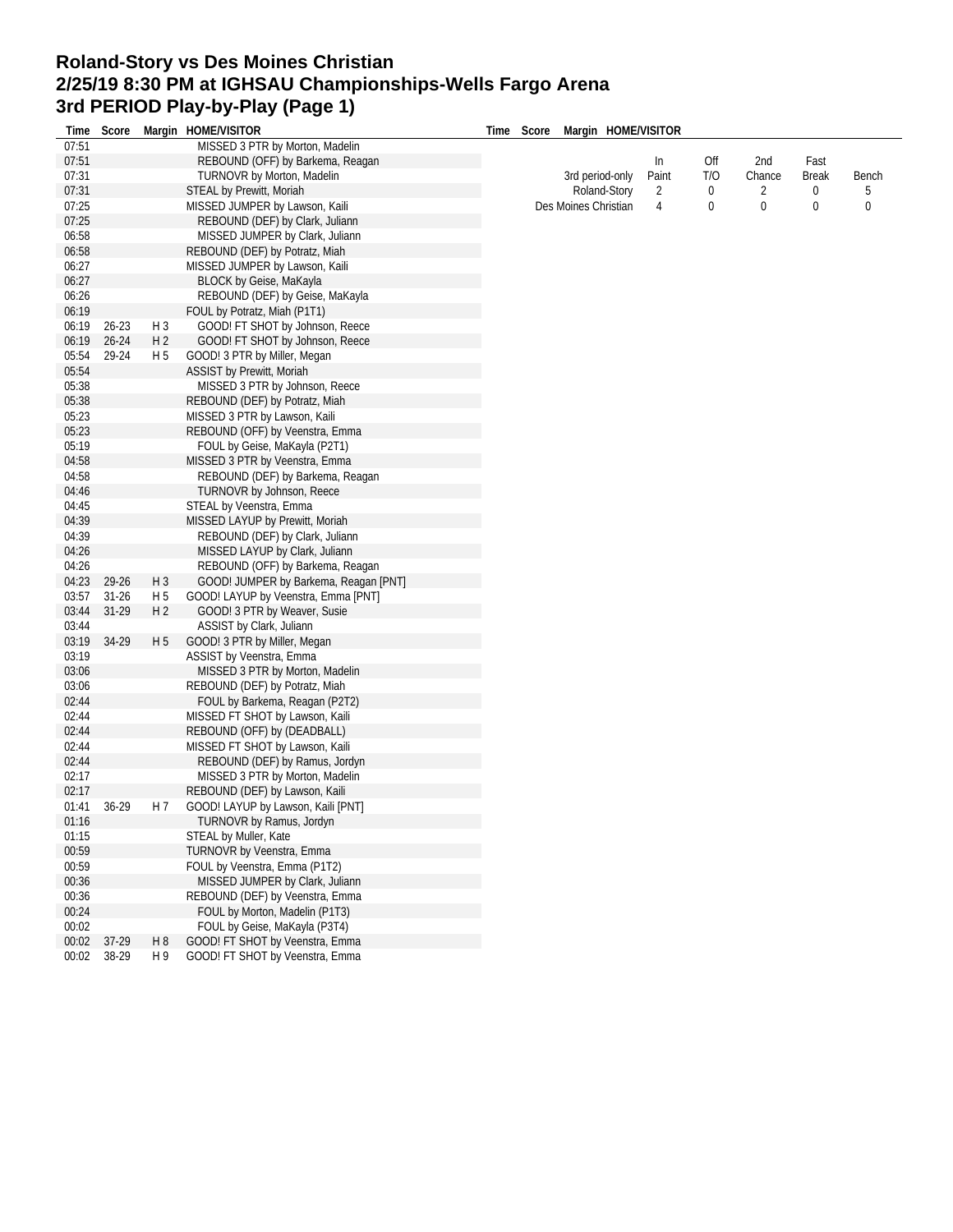## **Roland-Story vs Des Moines Christian 2/25/19 8:30 PM at IGHSAU Championships-Wells Fargo Arena 3rd PERIOD Play-by-Play (Page 1)**

| Time  | Score     |                | Margin HOME/VISITOR                                | Time | Score | Margin HOME/VISITOR  |                |     |        |              |       |  |
|-------|-----------|----------------|----------------------------------------------------|------|-------|----------------------|----------------|-----|--------|--------------|-------|--|
| 07:51 |           |                | MISSED 3 PTR by Morton, Madelin                    |      |       |                      |                |     |        |              |       |  |
| 07:51 |           |                | REBOUND (OFF) by Barkema, Reagan                   |      |       |                      | In             | Off | 2nd    | Fast         |       |  |
| 07:31 |           |                | TURNOVR by Morton, Madelin                         |      |       | 3rd period-only      | Paint          | T/O | Chance | <b>Break</b> | Bench |  |
| 07:31 |           |                | STEAL by Prewitt, Moriah                           |      |       | Roland-Story         | 2              | 0   | 2      | 0            | 5     |  |
| 07:25 |           |                | MISSED JUMPER by Lawson, Kaili                     |      |       | Des Moines Christian | $\overline{4}$ | 0   | 0      | 0            | 0     |  |
| 07:25 |           |                | REBOUND (DEF) by Clark, Juliann                    |      |       |                      |                |     |        |              |       |  |
| 06:58 |           |                | MISSED JUMPER by Clark, Juliann                    |      |       |                      |                |     |        |              |       |  |
| 06:58 |           |                | REBOUND (DEF) by Potratz, Miah                     |      |       |                      |                |     |        |              |       |  |
| 06:27 |           |                | MISSED JUMPER by Lawson, Kaili                     |      |       |                      |                |     |        |              |       |  |
| 06:27 |           |                | BLOCK by Geise, MaKayla                            |      |       |                      |                |     |        |              |       |  |
| 06:26 |           |                | REBOUND (DEF) by Geise, MaKayla                    |      |       |                      |                |     |        |              |       |  |
| 06:19 |           |                | FOUL by Potratz, Miah (P1T1)                       |      |       |                      |                |     |        |              |       |  |
| 06:19 | 26-23     | H 3            | GOOD! FT SHOT by Johnson, Reece                    |      |       |                      |                |     |        |              |       |  |
| 06:19 | $26 - 24$ | H <sub>2</sub> | GOOD! FT SHOT by Johnson, Reece                    |      |       |                      |                |     |        |              |       |  |
| 05:54 | 29-24     | H 5            | GOOD! 3 PTR by Miller, Megan                       |      |       |                      |                |     |        |              |       |  |
| 05:54 |           |                | <b>ASSIST by Prewitt, Moriah</b>                   |      |       |                      |                |     |        |              |       |  |
| 05:38 |           |                | MISSED 3 PTR by Johnson, Reece                     |      |       |                      |                |     |        |              |       |  |
| 05:38 |           |                | REBOUND (DEF) by Potratz, Miah                     |      |       |                      |                |     |        |              |       |  |
| 05:23 |           |                | MISSED 3 PTR by Lawson, Kaili                      |      |       |                      |                |     |        |              |       |  |
| 05:23 |           |                | REBOUND (OFF) by Veenstra, Emma                    |      |       |                      |                |     |        |              |       |  |
| 05:19 |           |                | FOUL by Geise, MaKayla (P2T1)                      |      |       |                      |                |     |        |              |       |  |
| 04:58 |           |                | MISSED 3 PTR by Veenstra, Emma                     |      |       |                      |                |     |        |              |       |  |
| 04:58 |           |                | REBOUND (DEF) by Barkema, Reagan                   |      |       |                      |                |     |        |              |       |  |
| 04:46 |           |                | TURNOVR by Johnson, Reece                          |      |       |                      |                |     |        |              |       |  |
| 04:45 |           |                | STEAL by Veenstra, Emma                            |      |       |                      |                |     |        |              |       |  |
| 04:39 |           |                | MISSED LAYUP by Prewitt, Moriah                    |      |       |                      |                |     |        |              |       |  |
| 04:39 |           |                | REBOUND (DEF) by Clark, Juliann                    |      |       |                      |                |     |        |              |       |  |
| 04:26 |           |                | MISSED LAYUP by Clark, Juliann                     |      |       |                      |                |     |        |              |       |  |
| 04:26 |           |                | REBOUND (OFF) by Barkema, Reagan                   |      |       |                      |                |     |        |              |       |  |
| 04:23 | 29-26     | $H_3$          | GOOD! JUMPER by Barkema, Reagan [PNT]              |      |       |                      |                |     |        |              |       |  |
| 03:57 | $31 - 26$ | H <sub>5</sub> | GOOD! LAYUP by Veenstra, Emma [PNT]                |      |       |                      |                |     |        |              |       |  |
| 03:44 | $31-29$   | H <sub>2</sub> | GOOD! 3 PTR by Weaver, Susie                       |      |       |                      |                |     |        |              |       |  |
| 03:44 |           |                | ASSIST by Clark, Juliann                           |      |       |                      |                |     |        |              |       |  |
| 03:19 | 34-29     | H <sub>5</sub> | GOOD! 3 PTR by Miller, Megan                       |      |       |                      |                |     |        |              |       |  |
| 03:19 |           |                | ASSIST by Veenstra, Emma                           |      |       |                      |                |     |        |              |       |  |
| 03:06 |           |                | MISSED 3 PTR by Morton, Madelin                    |      |       |                      |                |     |        |              |       |  |
| 03:06 |           |                | REBOUND (DEF) by Potratz, Miah                     |      |       |                      |                |     |        |              |       |  |
| 02:44 |           |                | FOUL by Barkema, Reagan (P2T2)                     |      |       |                      |                |     |        |              |       |  |
| 02:44 |           |                | MISSED FT SHOT by Lawson, Kaili                    |      |       |                      |                |     |        |              |       |  |
| 02:44 |           |                | REBOUND (OFF) by (DEADBALL)                        |      |       |                      |                |     |        |              |       |  |
| 02:44 |           |                | MISSED FT SHOT by Lawson, Kaili                    |      |       |                      |                |     |        |              |       |  |
| 02:44 |           |                | REBOUND (DEF) by Ramus, Jordyn                     |      |       |                      |                |     |        |              |       |  |
| 02:17 |           |                | MISSED 3 PTR by Morton, Madelin                    |      |       |                      |                |     |        |              |       |  |
| 02:17 |           |                | REBOUND (DEF) by Lawson, Kaili                     |      |       |                      |                |     |        |              |       |  |
| 01:41 | 36-29     | H 7            | GOOD! LAYUP by Lawson, Kaili [PNT]                 |      |       |                      |                |     |        |              |       |  |
| 01:16 |           |                |                                                    |      |       |                      |                |     |        |              |       |  |
| 01:15 |           |                | TURNOVR by Ramus, Jordyn                           |      |       |                      |                |     |        |              |       |  |
| 00:59 |           |                | STEAL by Muller, Kate<br>TURNOVR by Veenstra, Emma |      |       |                      |                |     |        |              |       |  |
|       |           |                |                                                    |      |       |                      |                |     |        |              |       |  |
| 00:59 |           |                | FOUL by Veenstra, Emma (P1T2)                      |      |       |                      |                |     |        |              |       |  |
| 00:36 |           |                | MISSED JUMPER by Clark, Juliann                    |      |       |                      |                |     |        |              |       |  |
| 00:36 |           |                | REBOUND (DEF) by Veenstra, Emma                    |      |       |                      |                |     |        |              |       |  |
| 00:24 |           |                | FOUL by Morton, Madelin (P1T3)                     |      |       |                      |                |     |        |              |       |  |
| 00:02 |           |                | FOUL by Geise, MaKayla (P3T4)                      |      |       |                      |                |     |        |              |       |  |
| 00:02 | 37-29     | H <sub>8</sub> | GOOD! FT SHOT by Veenstra, Emma                    |      |       |                      |                |     |        |              |       |  |
| 00:02 | 38-29     | H 9            | GOOD! FT SHOT by Veenstra, Emma                    |      |       |                      |                |     |        |              |       |  |